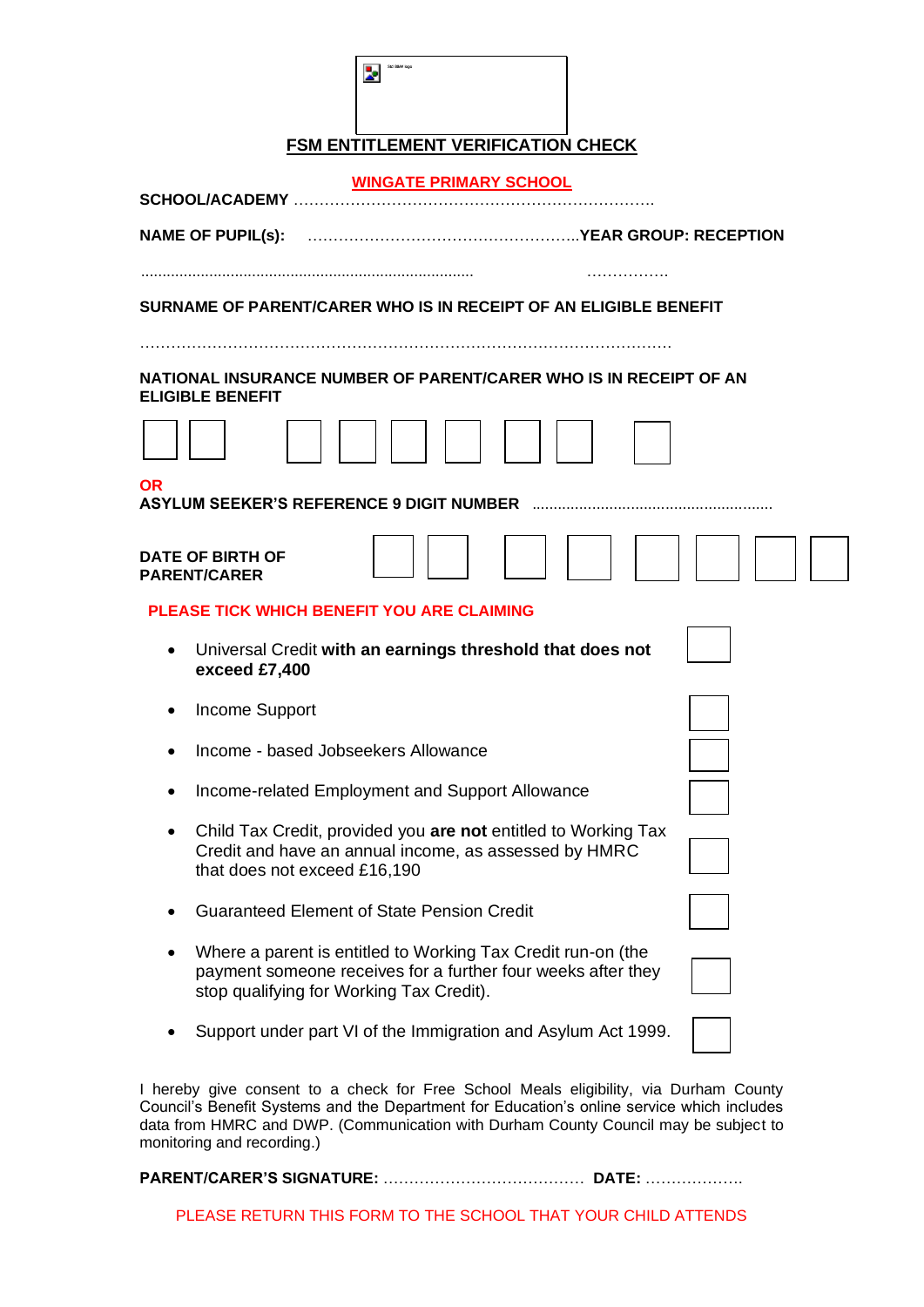| Std B&W logo |
|--------------|
|              |

## **FSM ENTITLEMENT VERIFICATION CHECK**

| <b>WINGATE PRIMARY SCHOOL</b><br>SCHOOL/ACADEMY |                                                                                                                                                                          |  |  |  |  |
|-------------------------------------------------|--------------------------------------------------------------------------------------------------------------------------------------------------------------------------|--|--|--|--|
|                                                 | <b>NAME OF PUPIL(S):</b>                                                                                                                                                 |  |  |  |  |
|                                                 | SURNAME OF PARENT/CARER WHO IS IN RECEIPT OF AN ELIGIBLE BENEFIT                                                                                                         |  |  |  |  |
|                                                 | NATIONAL INSURANCE NUMBER OF PARENT/CARER WHO IS IN RECEIPT OF AN<br><b>ELIGIBLE BENEFIT</b>                                                                             |  |  |  |  |
|                                                 |                                                                                                                                                                          |  |  |  |  |
| OR                                              |                                                                                                                                                                          |  |  |  |  |
|                                                 | DATE OF BIRTH OF<br><b>PARENT/CARER</b>                                                                                                                                  |  |  |  |  |
|                                                 | PLEASE TICK WHICH BENEFIT YOU ARE CLAIMING                                                                                                                               |  |  |  |  |
|                                                 | Universal Credit with an earnings threshold that does not<br>exceed £7,400                                                                                               |  |  |  |  |
| $\bullet$                                       | Income Support                                                                                                                                                           |  |  |  |  |
|                                                 | Income - based Jobseekers Allowance                                                                                                                                      |  |  |  |  |
| ٠                                               | Income-related Employment and Support Allowance                                                                                                                          |  |  |  |  |
| $\bullet$                                       | Child Tax Credit, provided you are not entitled to Working Tax<br>Credit and have an annual income, as assessed by HMRC<br>that does not exceed £16,190                  |  |  |  |  |
|                                                 | <b>Guaranteed Element of State Pension Credit</b>                                                                                                                        |  |  |  |  |
|                                                 | Where a parent is entitled to Working Tax Credit run-on (the<br>payment someone receives for a further four weeks after they<br>stop qualifying for Working Tax Credit). |  |  |  |  |
|                                                 | Support under part VI of the Immigration and Asylum Act 1999.                                                                                                            |  |  |  |  |
|                                                 |                                                                                                                                                                          |  |  |  |  |

I hereby give consent to a check for Free School Meals eligibility, via Durham County Council's Benefit Systems and the Department for Education's online service which includes data from HMRC and DWP. (Communication with Durham County Council may be subject to monitoring and recording.)

#### **PARENT/CARER'S SIGNATURE:** ………………………………… **DATE:** ……………….

PLEASE RETURN THIS FORM TO THE SCHOOL THAT YOUR CHILD ATTENDS